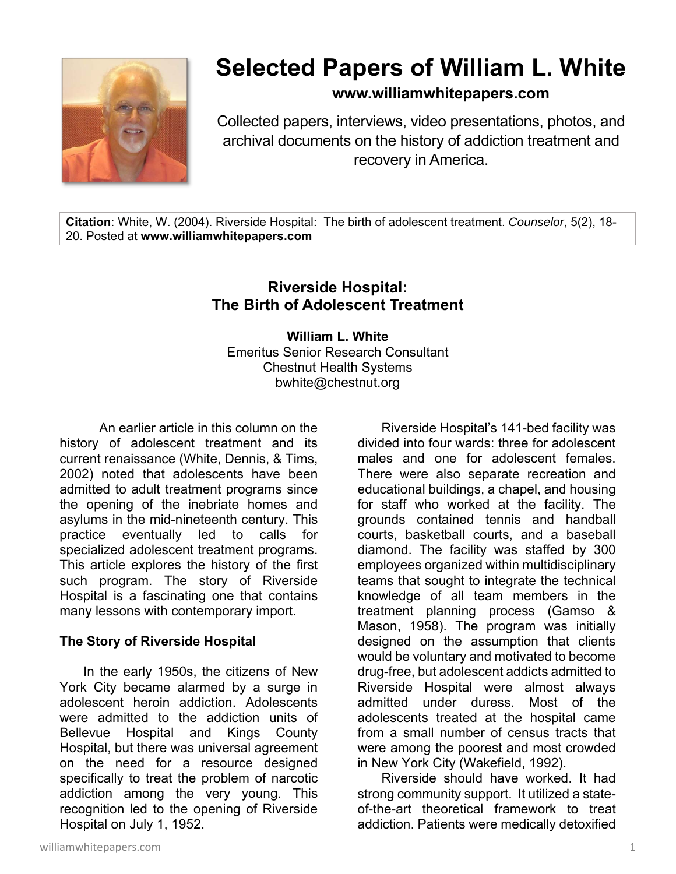

# **Selected Papers of William L. White**

**www.williamwhitepapers.com**

Collected papers, interviews, video presentations, photos, and archival documents on the history of addiction treatment and recovery in America.

**Citation**: White, W. (2004). Riverside Hospital: The birth of adolescent treatment. *Counselor*, 5(2), 18- 20. Posted at **www.williamwhitepapers.com** 

# **Riverside Hospital: The Birth of Adolescent Treatment**

**William L. White**  Emeritus Senior Research Consultant Chestnut Health Systems bwhite@chestnut.org

An earlier article in this column on the history of adolescent treatment and its current renaissance (White, Dennis, & Tims, 2002) noted that adolescents have been admitted to adult treatment programs since the opening of the inebriate homes and asylums in the mid-nineteenth century. This practice eventually led to calls for specialized adolescent treatment programs. This article explores the history of the first such program. The story of Riverside Hospital is a fascinating one that contains many lessons with contemporary import.

## **The Story of Riverside Hospital**

In the early 1950s, the citizens of New York City became alarmed by a surge in adolescent heroin addiction. Adolescents were admitted to the addiction units of Bellevue Hospital and Kings County Hospital, but there was universal agreement on the need for a resource designed specifically to treat the problem of narcotic addiction among the very young. This recognition led to the opening of Riverside Hospital on July 1, 1952.

Riverside Hospital's 141-bed facility was divided into four wards: three for adolescent males and one for adolescent females. There were also separate recreation and educational buildings, a chapel, and housing for staff who worked at the facility. The grounds contained tennis and handball courts, basketball courts, and a baseball diamond. The facility was staffed by 300 employees organized within multidisciplinary teams that sought to integrate the technical knowledge of all team members in the treatment planning process (Gamso & Mason, 1958). The program was initially designed on the assumption that clients would be voluntary and motivated to become drug-free, but adolescent addicts admitted to Riverside Hospital were almost always admitted under duress. Most of the adolescents treated at the hospital came from a small number of census tracts that were among the poorest and most crowded in New York City (Wakefield, 1992).

Riverside should have worked. It had strong community support. It utilized a stateof-the-art theoretical framework to treat addiction. Patients were medically detoxified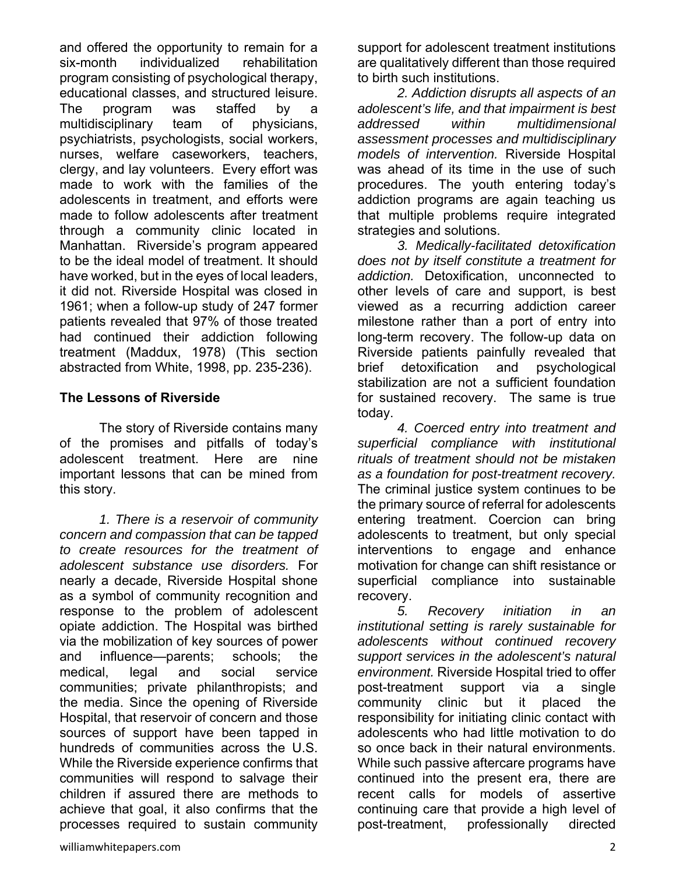and offered the opportunity to remain for a six-month individualized rehabilitation program consisting of psychological therapy, educational classes, and structured leisure. The program was staffed by a multidisciplinary team of physicians, psychiatrists, psychologists, social workers, nurses, welfare caseworkers, teachers, clergy, and lay volunteers. Every effort was made to work with the families of the adolescents in treatment, and efforts were made to follow adolescents after treatment through a community clinic located in Manhattan. Riverside's program appeared to be the ideal model of treatment. It should have worked, but in the eyes of local leaders, it did not. Riverside Hospital was closed in 1961; when a follow-up study of 247 former patients revealed that 97% of those treated had continued their addiction following treatment (Maddux, 1978) (This section abstracted from White, 1998, pp. 235-236).

### **The Lessons of Riverside**

 The story of Riverside contains many of the promises and pitfalls of today's adolescent treatment. Here are nine important lessons that can be mined from this story.

*1. There is a reservoir of community concern and compassion that can be tapped to create resources for the treatment of adolescent substance use disorders.* For nearly a decade, Riverside Hospital shone as a symbol of community recognition and response to the problem of adolescent opiate addiction. The Hospital was birthed via the mobilization of key sources of power and influence—parents; schools; the medical, legal and social service communities; private philanthropists; and the media. Since the opening of Riverside Hospital, that reservoir of concern and those sources of support have been tapped in hundreds of communities across the U.S. While the Riverside experience confirms that communities will respond to salvage their children if assured there are methods to achieve that goal, it also confirms that the processes required to sustain community support for adolescent treatment institutions are qualitatively different than those required to birth such institutions.

*2. Addiction disrupts all aspects of an adolescent's life, and that impairment is best addressed within multidimensional assessment processes and multidisciplinary models of intervention.* Riverside Hospital was ahead of its time in the use of such procedures. The youth entering today's addiction programs are again teaching us that multiple problems require integrated strategies and solutions.

*3. Medically-facilitated detoxification does not by itself constitute a treatment for addiction.* Detoxification, unconnected to other levels of care and support, is best viewed as a recurring addiction career milestone rather than a port of entry into long-term recovery. The follow-up data on Riverside patients painfully revealed that brief detoxification and psychological stabilization are not a sufficient foundation for sustained recovery. The same is true today.

*4. Coerced entry into treatment and superficial compliance with institutional rituals of treatment should not be mistaken as a foundation for post-treatment recovery.* The criminal justice system continues to be the primary source of referral for adolescents entering treatment. Coercion can bring adolescents to treatment, but only special interventions to engage and enhance motivation for change can shift resistance or superficial compliance into sustainable recovery.

*5. Recovery initiation in an institutional setting is rarely sustainable for adolescents without continued recovery support services in the adolescent's natural environment.* Riverside Hospital tried to offer post-treatment support via a single community clinic but it placed the responsibility for initiating clinic contact with adolescents who had little motivation to do so once back in their natural environments. While such passive aftercare programs have continued into the present era, there are recent calls for models of assertive continuing care that provide a high level of post-treatment, professionally directed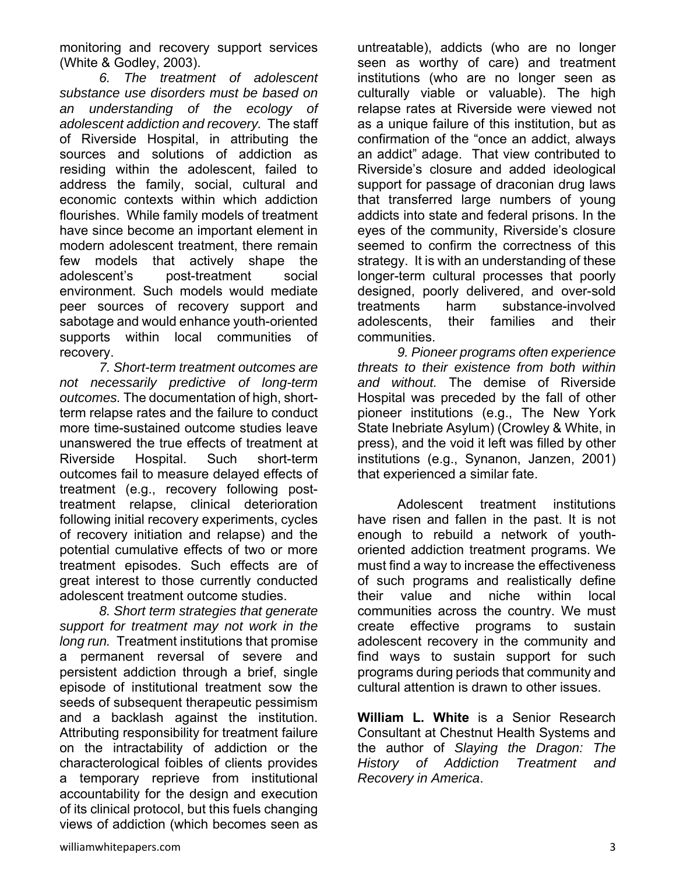monitoring and recovery support services (White & Godley, 2003).

*6. The treatment of adolescent substance use disorders must be based on an understanding of the ecology of adolescent addiction and recovery.* The staff of Riverside Hospital, in attributing the sources and solutions of addiction as residing within the adolescent, failed to address the family, social, cultural and economic contexts within which addiction flourishes. While family models of treatment have since become an important element in modern adolescent treatment, there remain few models that actively shape the adolescent's post-treatment social environment. Such models would mediate peer sources of recovery support and sabotage and would enhance youth-oriented supports within local communities of recovery.

*7. Short-term treatment outcomes are not necessarily predictive of long-term outcomes.* The documentation of high, shortterm relapse rates and the failure to conduct more time-sustained outcome studies leave unanswered the true effects of treatment at Riverside Hospital. Such short-term outcomes fail to measure delayed effects of treatment (e.g., recovery following posttreatment relapse, clinical deterioration following initial recovery experiments, cycles of recovery initiation and relapse) and the potential cumulative effects of two or more treatment episodes. Such effects are of great interest to those currently conducted adolescent treatment outcome studies.

 *8. Short term strategies that generate support for treatment may not work in the long run.* Treatment institutions that promise a permanent reversal of severe and persistent addiction through a brief, single episode of institutional treatment sow the seeds of subsequent therapeutic pessimism and a backlash against the institution. Attributing responsibility for treatment failure on the intractability of addiction or the characterological foibles of clients provides a temporary reprieve from institutional accountability for the design and execution of its clinical protocol, but this fuels changing views of addiction (which becomes seen as

untreatable), addicts (who are no longer seen as worthy of care) and treatment institutions (who are no longer seen as culturally viable or valuable). The high relapse rates at Riverside were viewed not as a unique failure of this institution, but as confirmation of the "once an addict, always an addict" adage. That view contributed to Riverside's closure and added ideological support for passage of draconian drug laws that transferred large numbers of young addicts into state and federal prisons. In the eyes of the community, Riverside's closure seemed to confirm the correctness of this strategy. It is with an understanding of these longer-term cultural processes that poorly designed, poorly delivered, and over-sold treatments harm substance-involved adolescents, their families and their communities.

 *9. Pioneer programs often experience threats to their existence from both within and without.* The demise of Riverside Hospital was preceded by the fall of other pioneer institutions (e.g., The New York State Inebriate Asylum) (Crowley & White, in press), and the void it left was filled by other institutions (e.g., Synanon, Janzen, 2001) that experienced a similar fate.

 Adolescent treatment institutions have risen and fallen in the past. It is not enough to rebuild a network of youthoriented addiction treatment programs. We must find a way to increase the effectiveness of such programs and realistically define their value and niche within local communities across the country. We must create effective programs to sustain adolescent recovery in the community and find ways to sustain support for such programs during periods that community and cultural attention is drawn to other issues.

**William L. White** is a Senior Research Consultant at Chestnut Health Systems and the author of *Slaying the Dragon: The History of Addiction Treatment and Recovery in America*.